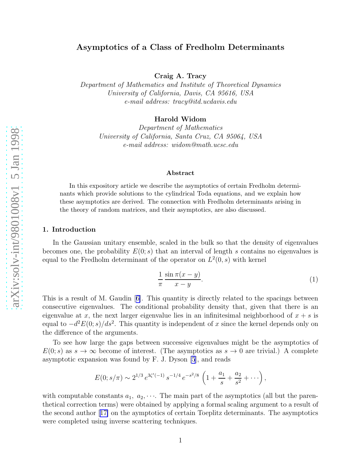Craig A. Tracy

<span id="page-0-0"></span>Department of Mathematics and Institute of Theoretical Dynamics University of California, Davis, CA 95616, USA e-mail address: tracy@itd.ucdavis.edu

Harold Widom

Department of Mathematics University of California, Santa Cruz, CA 95064, USA e-mail address: widom@math.ucsc.edu

#### Abstract

In this expository article we describe the asymptotics of certain Fredholm determinants which provide solutions to the cylindrical Toda equations, and we explain how these asymptotics are derived. The connection with Fredholm determinants arising in the theory of random matrices, and their asymptotics, are also discussed.

# 1. Introduction

In the Gaussian unitary ensemble, scaled in the bulk so that the density of eigenvalues becomes one, the probability  $E(0; s)$  that an interval of length s contains no eigenvalues is equal to the Fredholm determinant of the operator on  $L^2(0, s)$  with kernel

$$
\frac{1}{\pi} \frac{\sin \pi (x - y)}{x - y}.
$$
 (1)

This is a result of M. Gaudin[[6\]](#page-6-0). This quantity is directly related to the spacings between consecutive eigenvalues. The conditional probability density that, given that there is an eigenvalue at x, the next larger eigenvalue lies in an infinitesimal neighborhood of  $x + s$  is equal to  $-d^2E(0; s)/ds^2$ . This quantity is independent of x since the kernel depends only on the difference of the arguments.

To see how large the gaps between successive eigenvalues might be the asymptotics of  $E(0; s)$  as  $s \to \infty$  become of interest. (The asymptotics as  $s \to 0$  are trivial.) A complete asymptotic expansion was found by F. J. Dyson [\[5](#page-6-0)], and reads

$$
E(0; s/\pi) \sim 2^{1/3} e^{3\zeta'(-1)} s^{-1/4} e^{-s^2/8} \left(1 + \frac{a_1}{s} + \frac{a_2}{s^2} + \cdots \right)
$$

with computable constants  $a_1, a_2, \cdots$ . The main part of the asymptotics (all but the parenthetical correction terms) were obtained by applying a formal scaling argument to a result of the second author[[17\]](#page-7-0) on the aymptotics of certain Toeplitz determinants. The asymptotics were completed using inverse scattering techniques.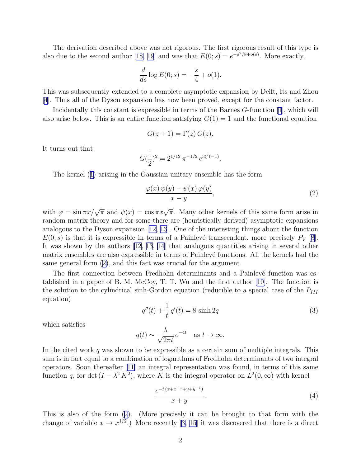<span id="page-1-0"></span>The derivation described above was not rigorous. The first rigorous result of this type is alsodue to the second author [[18, 19](#page-7-0)] and was that  $E(0; s) = e^{-s^2/8 + o(s)}$ . More exactly,

$$
\frac{d}{ds}\log E(0; s) = -\frac{s}{4} + o(1).
$$

This was subsequently extended to a complete asymptotic expansion by Deift, Its and Zhou [\[4](#page-6-0)]. Thus all of the Dyson expansion has now been proved, except for the constant factor.

Incidentally this constant is expressible in terms of the Barnes G-function [\[1](#page-6-0)], which will also arise below. This is an entire function satisfying  $G(1) = 1$  and the functional equation

$$
G(z+1) = \Gamma(z) G(z).
$$

It turns out that

$$
G(\frac{1}{2})^2 = 2^{1/12} \pi^{-1/2} e^{3\zeta'(-1)}.
$$

The kernel([1\)](#page-0-0) arising in the Gaussian unitary ensemble has the form

$$
\frac{\varphi(x)\,\psi(y)-\psi(x)\,\varphi(y)}{x-y},\tag{2}
$$

with  $\varphi = \sin \pi x / \sqrt{\pi}$  and  $\psi(x) = \cos \pi x / \sqrt{\pi}$ . Many other kernels of this same form arise in random matrix theory and for some there are (heuristically derived) asymptotic expansions analogous to the Dyson expansion[[12, 13](#page-7-0)]. One of the interesting things about the function  $E(0; s)$  is that it is expressible in terms of a Painlevé transcendent, more precisely  $P_V$  [[8\]](#page-6-0). It was shown by the authors [\[12, 13](#page-7-0), [14\]](#page-7-0) that analogous quantities arising in several other matrix ensembles are also expressible in terms of Painlevé functions. All the kernels had the same general form (2), and this fact was crucial for the argument.

The first connection between Fredholm determinants and a Painlevé function was established in a paper of B. M. McCoy, T. T. Wu and the first author [\[10\]](#page-6-0). The function is the solution to the cylindrical sinh-Gordon equation (reducible to a special case of the  $P_{III}$ equation)

$$
q''(t) + \frac{1}{t} q'(t) = 8 \sinh 2q
$$
\n(3)

which satisfies

$$
q(t) \sim \frac{\lambda}{\sqrt{2\pi t}} e^{-4t}
$$
 as  $t \to \infty$ .

In the cited work q was shown to be expressible as a certain sum of multiple integrals. This sum is in fact equal to a combination of logarithms of Fredholm determinants of two integral operators. Soon thereafter[[11\]](#page-7-0) an integral representation was found, in terms of this same function q, for det  $(I - \lambda^2 K^2)$ , where K is the integral operator on  $L^2(0, \infty)$  with kernel

$$
\frac{e^{-t(x+x^{-1}+y+y^{-1})}}{x+y}.\tag{4}
$$

This is also of the form (2). (More precisely it can be brought to that form with the change of variable  $x \to x^{1/2}$ .) More recently [\[3,](#page-6-0) [15](#page-7-0)] it was discovered that there is a direct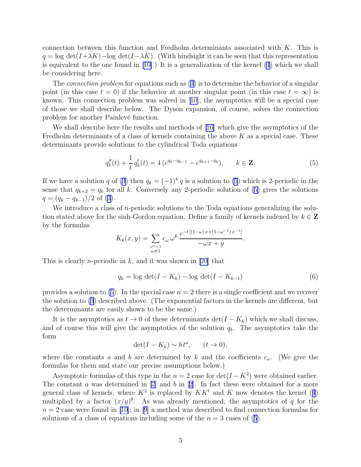<span id="page-2-0"></span>connection between this function and Fredholm determinants associated with K. This is  $q = \log \det(I + \lambda K) - \log \det(I - \lambda K)$ . (With hindsight it can be seen that this representation isequivalent to the one found in  $[10]$  $[10]$ .) It is a generalization of the kernel  $(4)$  which we shall be considering here.

The*connection problem* for equations such as ([3\)](#page-1-0) is to determine the behavior of a singular point (in this case  $t = 0$ ) if the behavior at another singular point (in this case  $t = \infty$ ) is known. This connection problem was solved in[[10\]](#page-6-0); the asymptotics will be a special case of those we shall describe below. The Dyson expansion, of course, solves the connection problem for another Painlevé function.

We shall describe here the results and methods of [\[16\]](#page-7-0) which give the asymptotics of the Fredholm determinants of a class of kernels containing the above  $K$  as a special case. These determinants provide solutions to the cylindrical Toda equations

$$
q_k''(t) + \frac{1}{t} q_k'(t) = 4 \left( e^{q_k - q_{k-1}} - e^{q_{k+1} - q_k} \right), \qquad k \in \mathbf{Z}.
$$
 (5)

If we have a solution q of [\(3](#page-1-0)) then  $q_k = (-1)^k q$  is a solution to (5) which is 2-periodic in the sense that  $q_{k+2} = q_k$  for all k. Conversely any 2-periodic solution of (5) gives the solutions  $q = (q_k - q_{k-1})/2$  of [\(3\)](#page-1-0).

We introduce a class of *n*-periodic solutions to the Toda equations generalizing the solution stated above for the sinh-Gordon equation. Define a family of kernels indexed by  $k \in \mathbb{Z}$ by the formulas

$$
K_k(x,y) = \sum_{\substack{\omega^n=1\\ \omega \neq 1}} c_{\omega} \omega^k \frac{e^{-t[(1-\omega)x + (1-\omega^{-1})x^{-1}]} - \omega x + y}{-\omega x + y}.
$$

This is clearly *n*-periodic in  $k$ , and it was shown in [\[20](#page-7-0)] that

$$
q_k = \log \det(I - K_k) - \log \det(I - K_{k-1})
$$
\n(6)

provides a solution to (5). In the special case  $n = 2$  there is a single coefficient and we recover the solution to [\(3](#page-1-0)) described above. (The exponential factors in the kernels are different, but the determinants are easily shown to be the same.)

It is the asymptotics as  $t \to 0$  of these determinants  $\det(I - K_k)$  which we shall discuss, and of course this will give the asymptotics of the solution  $q_k$ . The asymptotics take the form

$$
\det(I - K_k) \sim b t^a, \qquad (t \to 0),
$$

where the constants a and b are determined by k and the coefficients  $c_{\omega}$ . (We give the formulas for them and state our precise assumptions below.)

Asymptotic formulas of this type in the  $n = 2$  case for  $\det(I - K^2)$  were obtained earlier. Theconstant  $a$  was determined in [\[7](#page-6-0)] and  $b$  in [[2\]](#page-6-0). In fact these were obtained for a more generalclass of kernels, where  $K^2$  is replaced by  $KK<sup>t</sup>$  and K now denotes the kernel ([4](#page-1-0)) multiplied by a factor  $(x/y)^\theta$ . As was already mentioned, the asymptotics of q for the  $n = 2$  $n = 2$  $n = 2$  case were found in [\[10\]](#page-6-0); in [[9\]](#page-6-0) a method was described to find connection formulas for solutions of a class of equations including some of the  $n = 3$  cases of (5).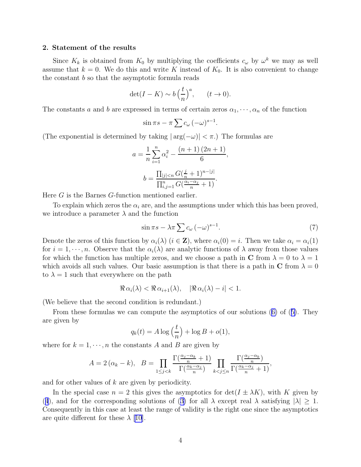### <span id="page-3-0"></span>2. Statement of the results

Since  $K_k$  is obtained from  $K_0$  by multiplying the coefficients  $c_\omega$  by  $\omega^k$  we may as well assume that  $k = 0$ . We do this and write K instead of  $K_0$ . It is also convenient to change the constant  $b$  so that the asymptotic formula reads

$$
\det(I - K) \sim b\left(\frac{t}{n}\right)^a, \qquad (t \to 0).
$$

The constants a and b are expressed in terms of certain zeros  $\alpha_1, \dots, \alpha_n$  of the function

$$
\sin \pi s - \pi \sum c_{\omega} (-\omega)^{s-1}.
$$

(The exponential is determined by taking  $|\arg(-\omega)| < \pi$ .) The formulas are

$$
a = \frac{1}{n} \sum_{i=1}^{n} \alpha_i^2 - \frac{(n+1)(2n+1)}{6},
$$

$$
b = \frac{\prod_{|j| < n} G(\frac{j}{n} + 1)^{n-|j|}}{\prod_{i,j=1}^{n} G(\frac{\alpha_i - \alpha_j}{n} + 1)}.
$$

Here G is the Barnes G-function mentioned earlier.

To explain which zeros the  $\alpha_i$  are, and the assumptions under which this has been proved, we introduce a parameter  $\lambda$  and the function

$$
\sin \pi s - \lambda \pi \sum c_{\omega} \left( -\omega \right)^{s-1}.
$$
\n(7)

Denote the zeros of this function by  $\alpha_i(\lambda)$   $(i \in \mathbf{Z})$ , where  $\alpha_i(0) = i$ . Then we take  $\alpha_i = \alpha_i(1)$ for  $i = 1, \dots, n$ . Observe that the  $\alpha_i(\lambda)$  are analytic functions of  $\lambda$  away from those values for which the function has multiple zeros, and we choose a path in C from  $\lambda = 0$  to  $\lambda = 1$ which avoids all such values. Our basic assumption is that there is a path in C from  $\lambda = 0$ to  $\lambda = 1$  such that everywhere on the path

$$
\Re \alpha_i(\lambda) < \Re \alpha_{i+1}(\lambda), \quad |\Re \alpha_i(\lambda) - i| < 1.
$$

(We believe that the second condition is redundant.)

From these formulas we can compute the asymptotics of our solutions([6\)](#page-2-0) of([5\)](#page-2-0). They are given by

$$
q_k(t) = A \log\left(\frac{t}{n}\right) + \log B + o(1),
$$

where for  $k = 1, \dots, n$  the constants A and B are given by

$$
A = 2(\alpha_k - k), \quad B = \prod_{1 \le j < k} \frac{\Gamma(\frac{\alpha_j - \alpha_k}{n} + 1)}{\Gamma(\frac{\alpha_k - \alpha_j}{n})} \prod_{k < j \le n} \frac{\Gamma(\frac{\alpha_j - \alpha_k}{n})}{\Gamma(\frac{\alpha_k - \alpha_j}{n} + 1)},
$$

and for other values of k are given by periodicity.

In the special case  $n = 2$  this gives the asymptotics for  $\det(I \pm \lambda K)$ , with K given by ([4](#page-1-0)),and for the corresponding solutions of ([3\)](#page-1-0) for all  $\lambda$  except real  $\lambda$  satisfying  $|\lambda| \geq 1$ . Consequently in this case at least the range of validity is the right one since the asymptotics are quite different for these  $\lambda$  [\[10\]](#page-6-0).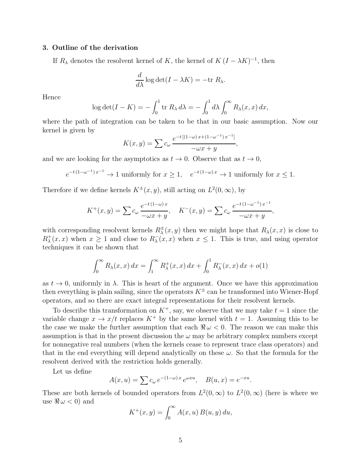# 3. Outline of the derivation

If  $R_{\lambda}$  denotes the resolvent kernel of K, the kernel of  $K (I - \lambda K)^{-1}$ , then

$$
\frac{d}{d\lambda}\log\det(I-\lambda K) = -\text{tr }R_{\lambda}.
$$

Hence

$$
\log \det(I - K) = -\int_0^1 \operatorname{tr} R_\lambda \, d\lambda = -\int_0^1 d\lambda \int_0^\infty R_\lambda(x, x) \, dx,
$$

where the path of integration can be taken to be that in our basic assumption. Now our kernel is given by

$$
K(x,y) = \sum c_{\omega} \frac{e^{-t[(1-\omega)x + (1-\omega^{-1})x^{-1}]} - \omega x + y}{-\omega x + y},
$$

and we are looking for the asymptotics as  $t \to 0$ . Observe that as  $t \to 0$ ,

$$
e^{-t(1-\omega^{-1})x^{-1}} \to 1
$$
 uniformly for  $x \ge 1$ ,  $e^{-t(1-\omega)x} \to 1$  uniformly for  $x \le 1$ .

Therefore if we define kernels  $K^{\pm}(x, y)$ , still acting on  $L^2(0, \infty)$ , by

$$
K^{+}(x, y) = \sum c_{\omega} \frac{e^{-t(1-\omega)x}}{-\omega x + y}, \quad K^{-}(x, y) = \sum c_{\omega} \frac{e^{-t(1-\omega^{-1})x^{-1}}}{-\omega x + y},
$$

with corresponding resolvent kernels  $R^{\pm}_{\lambda}$  $\frac{1}{\lambda}(x, y)$  then we might hope that  $R_{\lambda}(x, x)$  is close to  $R^+_{\lambda}(x, x)$  when  $x \geq 1$  and close to  $R^-_{\lambda}(x, x)$  when  $x \leq 1$ . This is true, and using operator techniques it can be shown that

$$
\int_0^\infty R_\lambda(x, x) \, dx = \int_1^\infty R_\lambda^+(x, x) \, dx + \int_0^1 R_\lambda^-(x, x) \, dx + o(1)
$$

as  $t \to 0$ , uniformly in  $\lambda$ . This is heart of the argument. Once we have this approximation then everything is plain sailing, since the operators  $K^{\pm}$  can be transformed into Wiener-Hopf operators, and so there are exact integral representations for their resolvent kernels.

To describe this transformation on  $K^+$ , say, we observe that we may take  $t = 1$  since the variable change  $x \to x/t$  replaces  $K^+$  by the same kernel with  $t = 1$ . Assuming this to be the case we make the further assumption that each  $\Re \omega < 0$ . The reason we can make this assumption is that in the present discussion the  $\omega$  may be arbitrary complex numbers except for nonnegative real numbers (when the kernels cease to represent trace class operators) and that in the end everything will depend analytically on these  $\omega$ . So that the formula for the resolvent derived with the restriction holds generally.

Let us define

$$
A(x, u) = \sum c_{\omega} e^{-(1-\omega)x} e^{\omega x u}, \quad B(u, x) = e^{-xu}.
$$

These are both kernels of bounded operators from  $L^2(0,\infty)$  to  $L^2(0,\infty)$  (here is where we use  $\Re \omega < 0$  and

$$
K^+(x,y) = \int_0^\infty A(x,u) B(u,y) du,
$$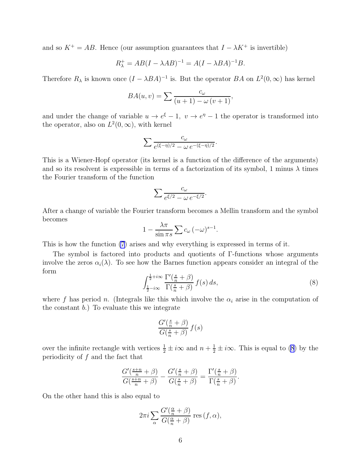<span id="page-5-0"></span>and so  $K^+ = AB$ . Hence (our assumption guarantees that  $I - \lambda K^+$  is invertible)

$$
R_{\lambda}^{+} = AB(I - \lambda AB)^{-1} = A(I - \lambda BA)^{-1}B.
$$

Therefore  $R_{\lambda}$  is known once  $(I - \lambda BA)^{-1}$  is. But the operator  $BA$  on  $L^2(0, \infty)$  has kernel

$$
BA(u, v) = \sum \frac{c_{\omega}}{(u+1) - \omega (v+1)},
$$

and under the change of variable  $u \to e^{\xi} - 1$ ,  $v \to e^{\eta} - 1$  the operator is transformed into the operator, also on  $L^2(0,\infty)$ , with kernel

$$
\sum \frac{c_{\omega}}{e^{(\xi-\eta)/2} - \omega e^{-(\xi-\eta)/2}}.
$$

This is a Wiener-Hopf operator (its kernel is a function of the difference of the arguments) and so its resolvent is expressible in terms of a factorization of its symbol, 1 minus  $\lambda$  times the Fourier transform of the function

$$
\sum \frac{c_{\omega}}{e^{\xi/2} - \omega e^{-\xi/2}}.
$$

After a change of variable the Fourier transform becomes a Mellin transform and the symbol becomes

$$
1 - \frac{\lambda \pi}{\sin \pi s} \sum c_{\omega} (-\omega)^{s-1}.
$$

This is how the function [\(7](#page-3-0)) arises and why everything is expressed in terms of it.

The symbol is factored into products and quotients of Γ-functions whose arguments involve the zeros  $\alpha_i(\lambda)$ . To see how the Barnes function appears consider an integral of the form

$$
\int_{\frac{1}{2}-i\infty}^{\frac{1}{2}+i\infty} \frac{\Gamma'\left(\frac{s}{n}+\beta\right)}{\Gamma\left(\frac{s}{n}+\beta\right)} f(s) \, ds,\tag{8}
$$

where f has period n. (Integrals like this which involve the  $\alpha_i$  arise in the computation of the constant b.) To evaluate this we integrate

$$
\frac{G'(\frac{s}{n}+\beta)}{G(\frac{s}{n}+\beta)} f(s)
$$

over the infinite rectangle with vertices  $\frac{1}{2} \pm i\infty$  and  $n + \frac{1}{2} \pm i\infty$ . This is equal to (8) by the periodicity of  $f$  and the fact that

$$
\frac{G'\left(\frac{s+n}{n} + \beta\right)}{G\left(\frac{s+n}{n} + \beta\right)} - \frac{G'\left(\frac{s}{n} + \beta\right)}{G\left(\frac{s}{n} + \beta\right)} = \frac{\Gamma'\left(\frac{s}{n} + \beta\right)}{\Gamma\left(\frac{s}{n} + \beta\right)}.
$$

On the other hand this is also equal to

$$
2\pi i \sum_{\alpha} \frac{G'(\frac{\alpha}{n} + \beta)}{G(\frac{\alpha}{n} + \beta)} \operatorname{res} (f, \alpha),
$$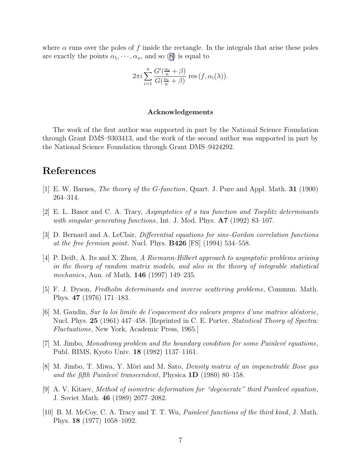<span id="page-6-0"></span>where  $\alpha$  runs over the poles of f inside the rectangle. In the integrals that arise these poles areexactly the points  $\alpha_1, \dots, \alpha_n$ , and so ([8\)](#page-5-0) is equal to

$$
2\pi i \sum_{i=1}^{n} \frac{G'(\frac{\alpha_i}{n} + \beta)}{G(\frac{\alpha_i}{n} + \beta)} \operatorname{res}(f, \alpha_i(\lambda)).
$$

### Acknowledgements

The work of the first author was supported in part by the National Science Foundation through Grant DMS–9303413, and the work of the second author was supported in part by the National Science Foundation through Grant DMS–9424292.

# References

- [1] E. W. Barnes, The theory of the G-function, Quart. J. Pure and Appl. Math. 31 (1900) 264–314.
- [2] E. L. Basor and C. A. Tracy, Asymptotics of a tau function and Toeplitz determinants with singular generating functions, Int. J. Mod. Phys.  $\mathbf{A7}$  (1992) 83–107.
- [3] D. Bernard and A. LeClair, *Differential equations for sine-Gordon correlation functions* at the free fermion point. Nucl. Phys.  $B426$  [FS] (1994) 534–558.
- [4] P. Deift, A. Its and X. Zhou, A Riemann-Hilbert approach to asymptotic problems arising in the theory of random matrix models, and also in the theory of integrable statistical mechanics, Ann. of Math. **146** (1997) 149–235.
- [5] F. J. Dyson, Fredholm determinants and inverse scattering problems, Commun. Math. Phys. 47 (1976) 171–183.
- $[6]$  M. Gaudin, *Sur la loi limite de l'espacement des valeurs propres d'une matrice aléatorie*, Nucl. Phys. 25 (1961) 447–458. [Reprinted in C. E. Porter, *Statistical Theory of Spectra:* Fluctuations, New York, Academic Press, 1965.]
- $[7]$  M. Jimbo, Monodromy problem and the boundary condition for some Painlevé equations, Publ. RIMS, Kyoto Univ. 18 (1982) 1137–1161.
- [8] M. Jimbo, T. Miwa, Y. Môri and M. Sato, *Density matrix of an impenetrable Bose gas* and the fifth Painlevé transcendent, Physica  $1D$  (1980) 80–158.
- [9] A. V. Kitaev, Method of isometric deformation for "degenerate" third Painlevé equation, J. Soviet Math. 46 (1989) 2077–2082.
- [10] B. M. McCoy, C. A. Tracy and T. T. Wu, *Painlevé functions of the third kind*, J. Math. Phys. 18 (1977) 1058–1092.